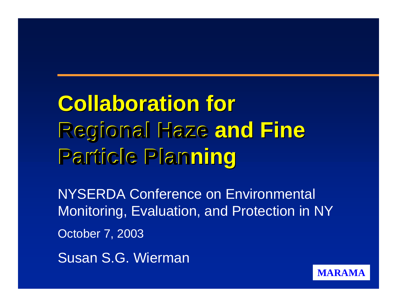**Collaboration for Regional Haze Regional Haze and Fine and Fine Particle Planning** 

NYSERDA Conference on Environmental Monitoring, Evaluation, and Protection in NY October 7, 2003

**MARAMA**

Susan S.G. Wierman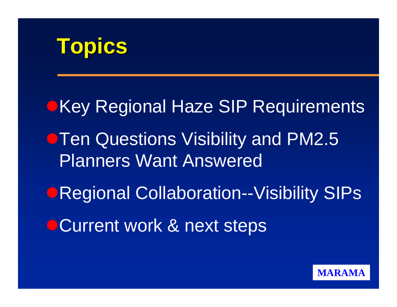## **Topics**

**• Key Regional Haze SIP Requirements Then Questions Visibility and PM2.5** Planners Want Answered **ORegional Collaboration--Visibility SIPs • Current work & next steps** 

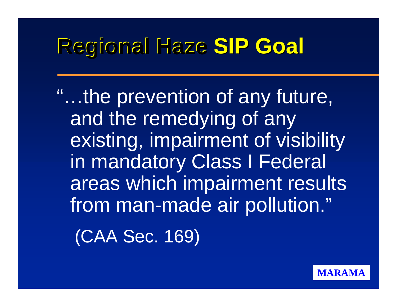## **Regional Haze SIP Goal**

"...the prevention of any future, and the remedying of any existing, impairment of visibility in mandatory Class I Federal areas which impairment results from man-made air pollution."

(CAA Sec. 169)

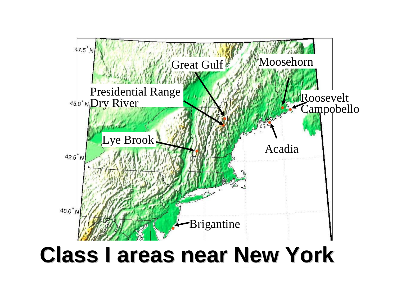

## **Class I areas near New York Class I areas near New York**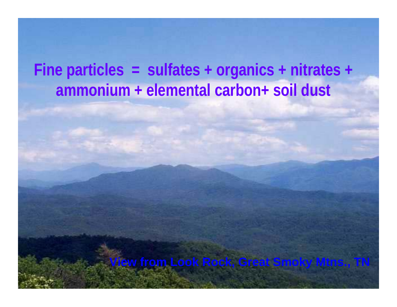#### **Fine particles = sulfates + organics + nitrates + ammonium + elemental carbon+ soil dust**

**View from Look Rock, Great Smoky Mtns., TN**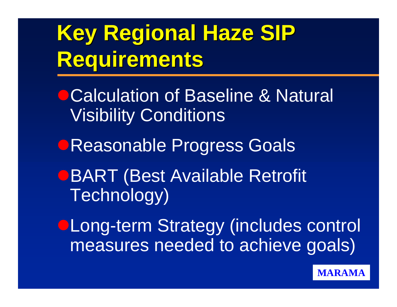# **Key Regional Haze SIP Key Regional Haze SIP Requirements Requirements**

- **Calculation of Baseline & Natural** Visibility Conditions
- **Reasonable Progress Goals**
- **OBART (Best Available Retrofit** Technology)

**OLong-term Strategy (includes control** measures needed to achieve goals)

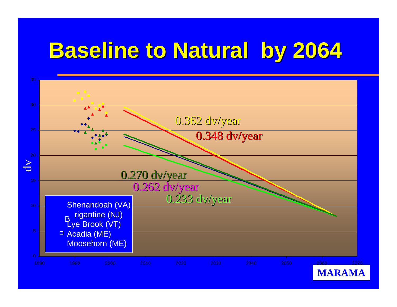# **Baseline to Natural by 2064**

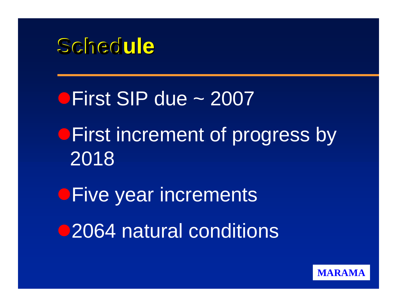

**CFirst SIP due ~ 2007 • First increment of progress by** 2018 **OFive year increments** ●2064 natural conditions

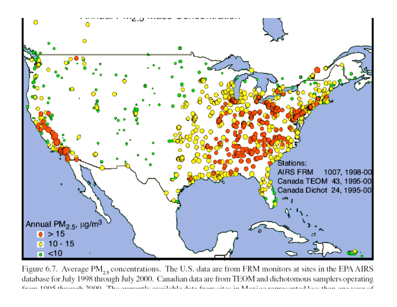

Figure 6.7. Average PM<sub>2.5</sub> concentrations. The U.S. data are from FRM monitors at sites in the EPA AIRS database for July 1998 through July 2000. Canadian data are from TEOM and dichotomous samplers operating from 1005 through 2000. The aureastly qualible data from gitar in Maxino remeasanted lass than one way of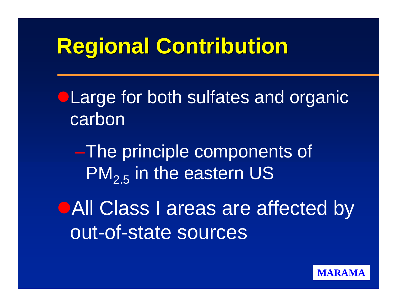## **Regional Contribution**

**OLarge for both sulfates and organic** carbon

–The principle components of  $PM_{2,5}$  in the eastern US

**OAII Class I areas are affected by** out-of-state sources

**MARAMA**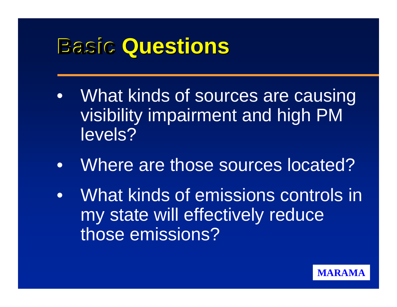## **Basic Questions**

- What kinds of sources are causing visibility impairment and high PM levels?
- Where are those sources located?
- What kinds of emissions controls in my state will effectively reduce those emissions?

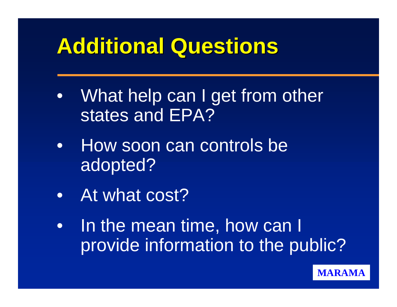## **Additional Questions**

- What help can I get from other states and EPA?
- How soon can controls be adopted?
- At what cost?
- In the mean time, how can I provide information to the public?

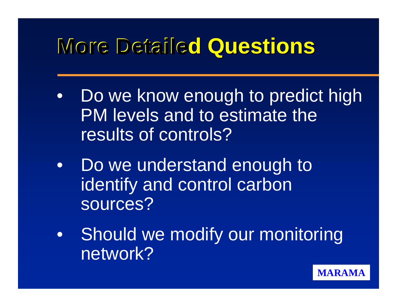## **More Detailed Questions**

- Do we know enough to predict high PM levels and to estimate the results of controls?
- Do we understand enough to identify and control carbon sources?
- Should we modify our monitoring network?

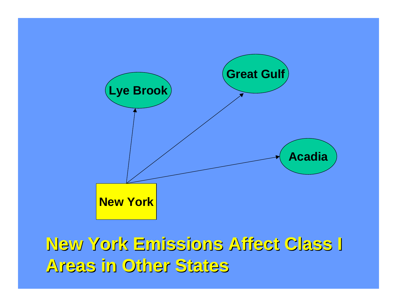

### **New York Emissions Affect Class I New York Emissions Affect Class I Areas in Other States Areas in Other States**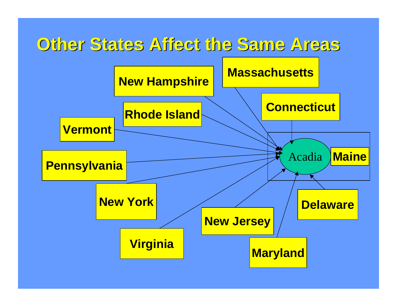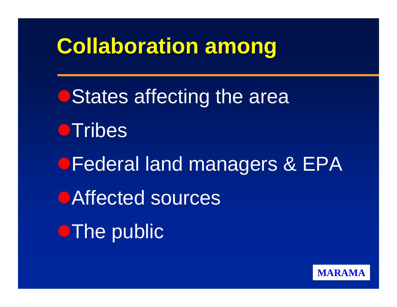## **Collaboration among Collaboration among**

**• States affecting the area OTribes • Federal land managers & EPA OAffected sources OThe public** 

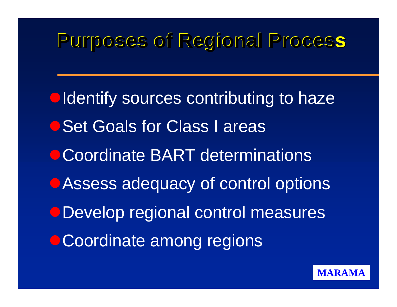#### **Purposes of Regional Process**

**Oldentify sources contributing to haze** O Set Goals for Class I areas **Coordinate BART determinations** • Assess adequacy of control options ODevelop regional control measures **• Coordinate among regions** 

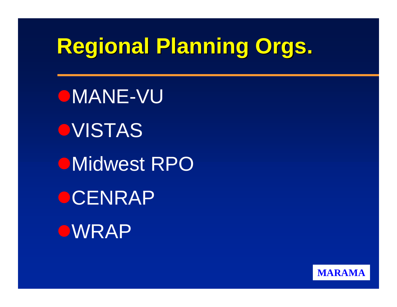# **Regional Planning Orgs.**

OMANE-VU **OVISTAS OMidwest RPO OCENRAP OWRAP** 

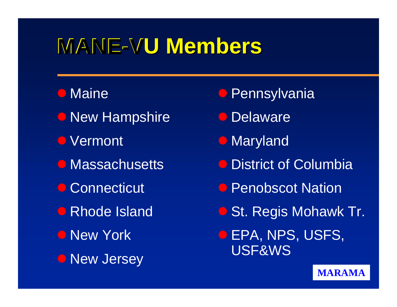## **MANE-VU Members**

#### **O** Maine

- **New Hampshire** *Delaware*
- **O** Vermont
- Massachusetts
- Connecticut
- Rhode Island
- **O** New York
- **New Jersey**
- **O** Pennsylvania
- 
- **Maryland**
- **District of Columbia**
- **Penobscot Nation**
- **C** St. Regis Mohawk Tr.
- **O EPA, NPS, USFS, O** New Jersey **Example 19 USF&WS**

#### **MARAMA**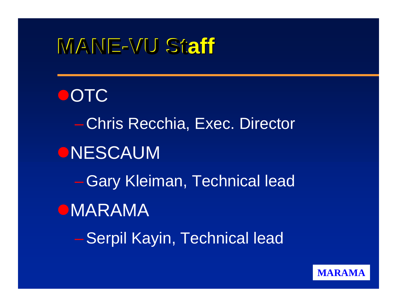## **MANE-VU Staff**

**OOTC** – Chris Recchia, Exec. Director **ONESCAUM** – Gary Kleiman, Technical lead **OMARAMA** – Serpil Kayin, Technical lead

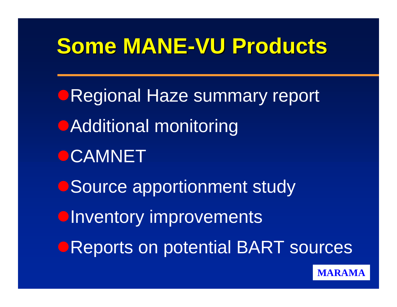## Some MANE-VU Products

**ORegional Haze summary report • Additional monitoring OCAMNET • Source apportionment study OInventory improvements OREPORTS ON potential BART sources** 

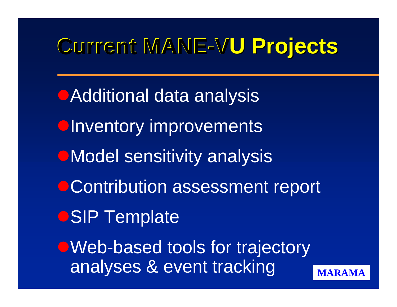# $C$ urrent MANE-VU Projects

**• Additional data analysis OInventory improvements •Model sensitivity analysis • Contribution assessment report OSIP Template** • Web-based tools for trajectory analyses & event tracking

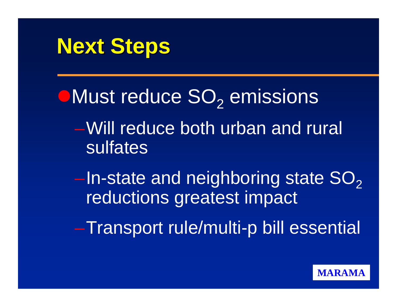

 $\bullet$  Must reduce  $SO<sub>2</sub>$  emissions –Will reduce both urban and rural sulfates

–In-state and neighboring state SO<sub>2</sub> reductions greatest impact

–Transport rule/multi-p bill essential

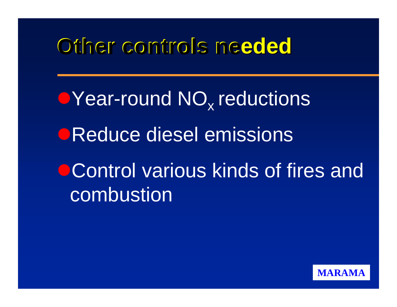## **Other controls ne Other controls needed**

• Year-round NO<sub>x</sub> reductions **OReduce diesel emissions** OControl various kinds of fires and combustion